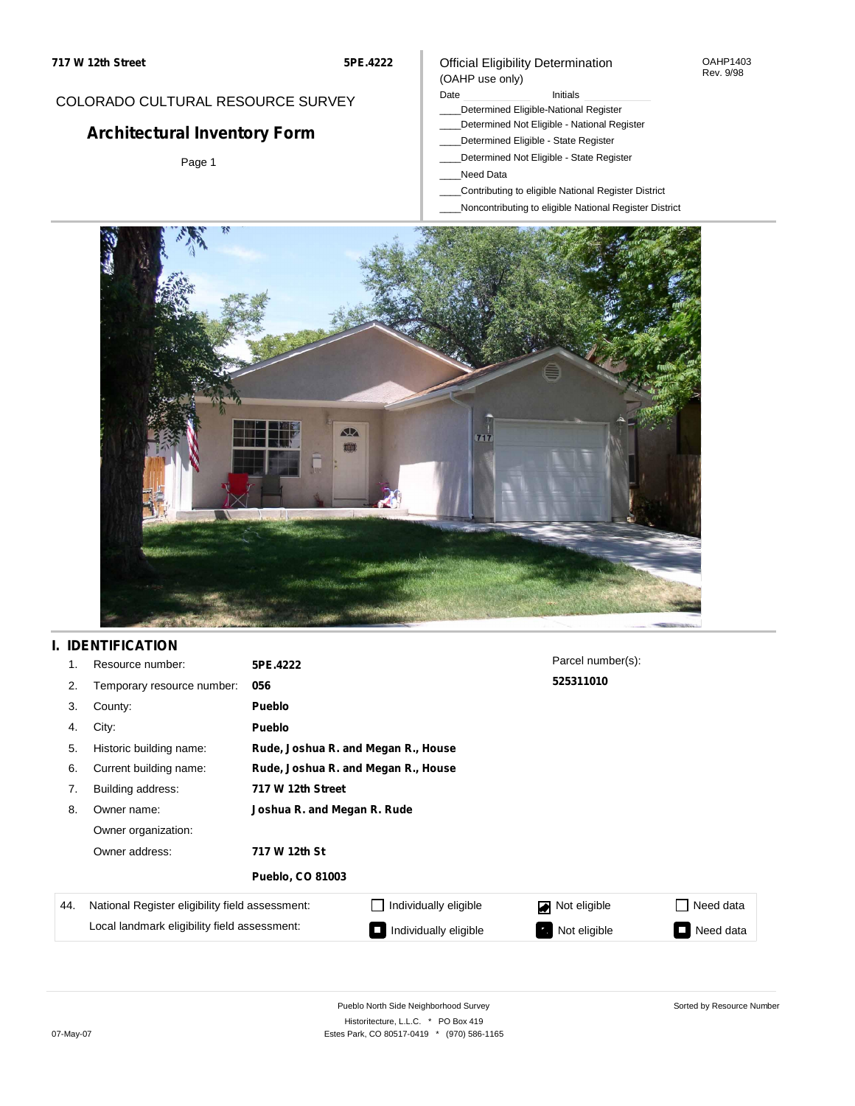## COLORADO CULTURAL RESOURCE SURVEY

# **Architectural Inventory Form**

Page 1

#### Official Eligibility Determination (OAHP use only)

Date **Initials** Initials

- \_\_\_\_Determined Eligible-National Register
- \_\_\_\_Determined Not Eligible National Register
- \_\_\_\_Determined Eligible State Register
- \_\_\_\_Determined Not Eligible State Register
- \_\_\_\_Need Data
- \_\_\_\_Contributing to eligible National Register District
- \_\_\_\_Noncontributing to eligible National Register District



## **I. IDENTIFICATION**

| 1.  | Resource number:                                                                                | 5PE.4222                    |                                     | Parcel number(s): |                     |  |  |  |
|-----|-------------------------------------------------------------------------------------------------|-----------------------------|-------------------------------------|-------------------|---------------------|--|--|--|
| 2.  | Temporary resource number:                                                                      | 056                         |                                     | 525311010         |                     |  |  |  |
| 3.  | County:                                                                                         | <b>Pueblo</b>               |                                     |                   |                     |  |  |  |
| 4.  | City:                                                                                           | <b>Pueblo</b>               |                                     |                   |                     |  |  |  |
| 5.  | Historic building name:                                                                         |                             | Rude, Joshua R. and Megan R., House |                   |                     |  |  |  |
| 6.  | Current building name:                                                                          |                             | Rude, Joshua R. and Megan R., House |                   |                     |  |  |  |
| 7.  | Building address:                                                                               | 717 W 12th Street           |                                     |                   |                     |  |  |  |
| 8.  | Owner name:                                                                                     | Joshua R. and Megan R. Rude |                                     |                   |                     |  |  |  |
|     | Owner organization:                                                                             |                             |                                     |                   |                     |  |  |  |
|     | Owner address:                                                                                  | 717 W 12th St               |                                     |                   |                     |  |  |  |
|     |                                                                                                 | <b>Pueblo, CO 81003</b>     |                                     |                   |                     |  |  |  |
| 44. | National Register eligibility field assessment:<br>Local landmark eligibility field assessment: |                             | Individually eligible               | Not eligible<br>◪ | Need data           |  |  |  |
|     |                                                                                                 |                             | Individually eligible               | Not eligible      | Need data<br>$\Box$ |  |  |  |

Sorted by Resource Number

OAHP1403 Rev. 9/98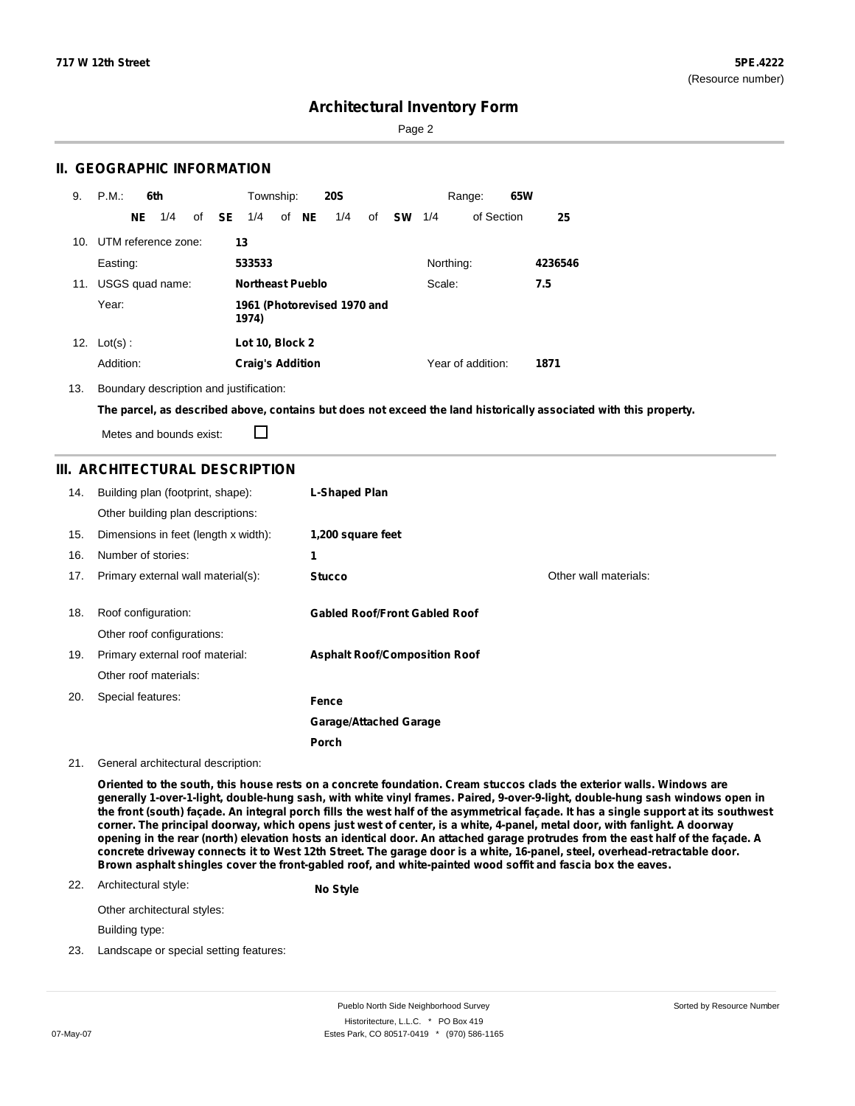Page 2

### **II. GEOGRAPHIC INFORMATION**

| 9.  | P.M.       |     | 6th                     |              | Township:                            |  |       | <b>20S</b> |    |           |           | Range:            | 65W |         |
|-----|------------|-----|-------------------------|--------------|--------------------------------------|--|-------|------------|----|-----------|-----------|-------------------|-----|---------|
|     |            | NE. | 1/4                     | of <b>SE</b> | 1/4                                  |  | of NE | 1/4        | of | <b>SW</b> | 1/4       | of Section        |     | 25      |
|     |            |     | 10. UTM reference zone: |              | 13                                   |  |       |            |    |           |           |                   |     |         |
|     | Easting:   |     |                         |              | 533533                               |  |       |            |    |           | Northing: |                   |     | 4236546 |
| 11. |            |     | USGS quad name:         |              | <b>Northeast Pueblo</b>              |  |       |            |    |           | Scale:    |                   |     | 7.5     |
|     | Year:      |     |                         |              | 1961 (Photorevised 1970 and<br>1974) |  |       |            |    |           |           |                   |     |         |
| 12. | $Lot(s)$ : |     |                         |              | Lot 10, Block 2                      |  |       |            |    |           |           |                   |     |         |
|     | Addition:  |     |                         |              | <b>Craig's Addition</b>              |  |       |            |    |           |           | Year of addition: |     | 1871    |

13. Boundary description and justification:

The parcel, as described above, contains but does not exceed the land historically associated with this property.

Metes and bounds exist:

 $\Box$ 

## **III. ARCHITECTURAL DESCRIPTION**

| 14. | Building plan (footprint, shape):<br>Other building plan descriptions: | <b>L-Shaped Plan</b>                 |                       |
|-----|------------------------------------------------------------------------|--------------------------------------|-----------------------|
| 15. | Dimensions in feet (length x width):                                   | 1,200 square feet                    |                       |
| 16. | Number of stories:                                                     | 1                                    |                       |
| 17. | Primary external wall material(s):                                     | <b>Stucco</b>                        | Other wall materials: |
| 18. | Roof configuration:<br>Other roof configurations:                      | <b>Gabled Roof/Front Gabled Roof</b> |                       |
| 19. | Primary external roof material:                                        | <b>Asphalt Roof/Composition Roof</b> |                       |
|     | Other roof materials:                                                  |                                      |                       |
| 20. | Special features:                                                      | Fence                                |                       |
|     |                                                                        | <b>Garage/Attached Garage</b>        |                       |
|     |                                                                        | Porch                                |                       |

21. General architectural description:

Oriented to the south, this house rests on a concrete foundation. Cream stuccos clads the exterior walls. Windows are generally 1-over-1-light, double-hung sash, with white vinyl frames. Paired, 9-over-9-light, double-hung sash windows open in the front (south) façade. An integral porch fills the west half of the asymmetrical façade. It has a single support at its southwest corner. The principal doorway, which opens just west of center, is a white, 4-panel, metal door, with fanlight. A doorway opening in the rear (north) elevation hosts an identical door. An attached garage protrudes from the east half of the façade. A concrete driveway connects it to West 12th Street. The garage door is a white, 16-panel, steel, overhead-retractable door. **Brown asphalt shingles cover the front-gabled roof, and white-painted wood soffit and fascia box the eaves.**

#### 22. Architectural style: **No Style**

Other architectural styles:

Building type:

23. Landscape or special setting features: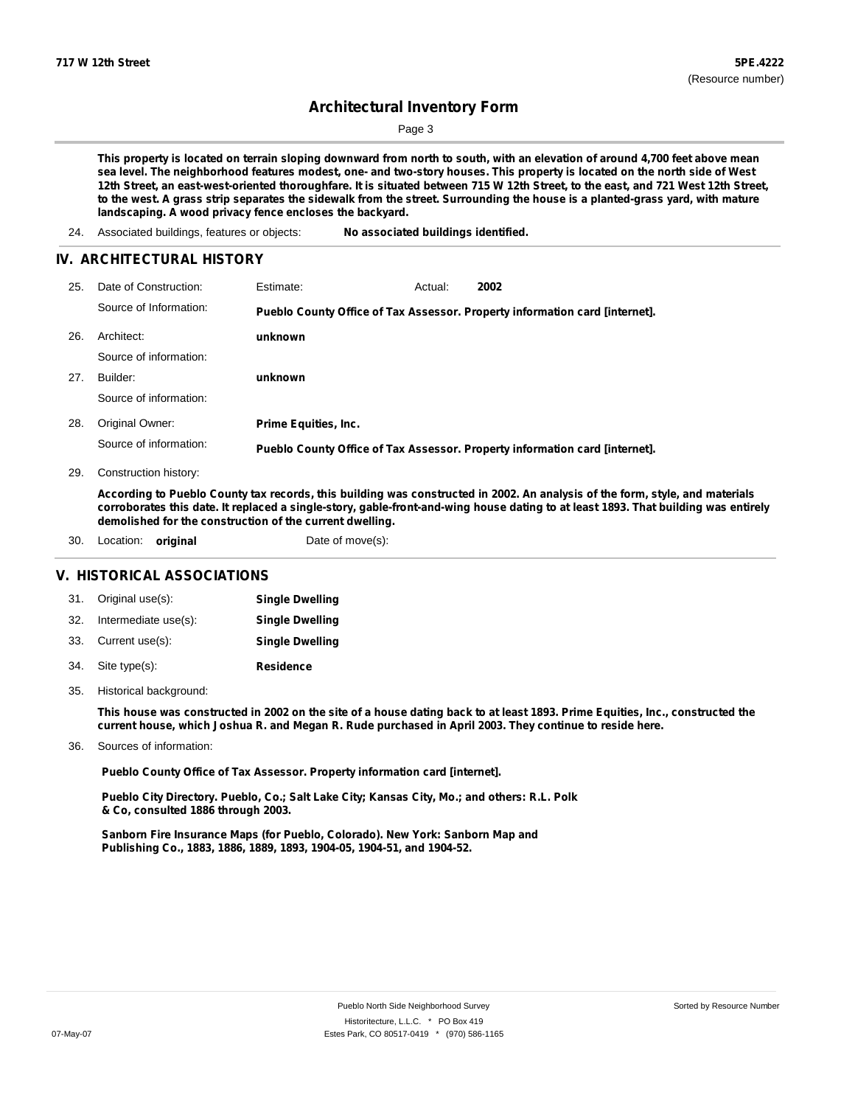Page 3

This property is located on terrain sloping downward from north to south, with an elevation of around 4,700 feet above mean sea level. The neighborhood features modest, one- and two-story houses. This property is located on the north side of West 12th Street, an east-west-oriented thoroughfare. It is situated between 715 W 12th Street, to the east, and 721 West 12th Street, to the west. A grass strip separates the sidewalk from the street. Surrounding the house is a planted-grass yard, with mature **landscaping. A wood privacy fence encloses the backyard.**

24. Associated buildings, features or objects: **No associated buildings identified.**

#### **IV. ARCHITECTURAL HISTORY**

| 25. | Date of Construction:  | <b>Estimate:</b>            | Actual: | 2002                                                                        |
|-----|------------------------|-----------------------------|---------|-----------------------------------------------------------------------------|
|     | Source of Information: |                             |         | Pueblo County Office of Tax Assessor. Property information card [internet]. |
| 26. | Architect:             | unknown                     |         |                                                                             |
|     | Source of information: |                             |         |                                                                             |
| 27. | Builder:               | unknown                     |         |                                                                             |
|     | Source of information: |                             |         |                                                                             |
| 28. | Original Owner:        | <b>Prime Equities, Inc.</b> |         |                                                                             |
|     | Source of information: |                             |         | Pueblo County Office of Tax Assessor. Property information card [internet]. |

29. Construction history:

According to Pueblo County tax records, this building was constructed in 2002. An analysis of the form, style, and materials corroborates this date. It replaced a single-story, gable-front-and-wing house dating to at least 1893. That building was entirely **demolished for the construction of the current dwelling.**

30. Location: **original** Date of move(s):

#### **V. HISTORICAL ASSOCIATIONS**

| 31. Original use(s):     | <b>Single Dwelling</b> |
|--------------------------|------------------------|
| 32. Intermediate use(s): | <b>Single Dwelling</b> |
| 33. Current use(s):      | <b>Single Dwelling</b> |
| 34. Site type(s):        | <b>Residence</b>       |

35. Historical background:

This house was constructed in 2002 on the site of a house dating back to at least 1893. Prime Equities, Inc., constructed the current house, which Joshua R. and Megan R. Rude purchased in April 2003. They continue to reside here.

36. Sources of information:

**Pueblo County Office of Tax Assessor. Property information card [internet].**

**Pueblo City Directory. Pueblo, Co.; Salt Lake City; Kansas City, Mo.; and others: R.L. Polk & Co, consulted 1886 through 2003.**

**Sanborn Fire Insurance Maps (for Pueblo, Colorado). New York: Sanborn Map and Publishing Co., 1883, 1886, 1889, 1893, 1904-05, 1904-51, and 1904-52.**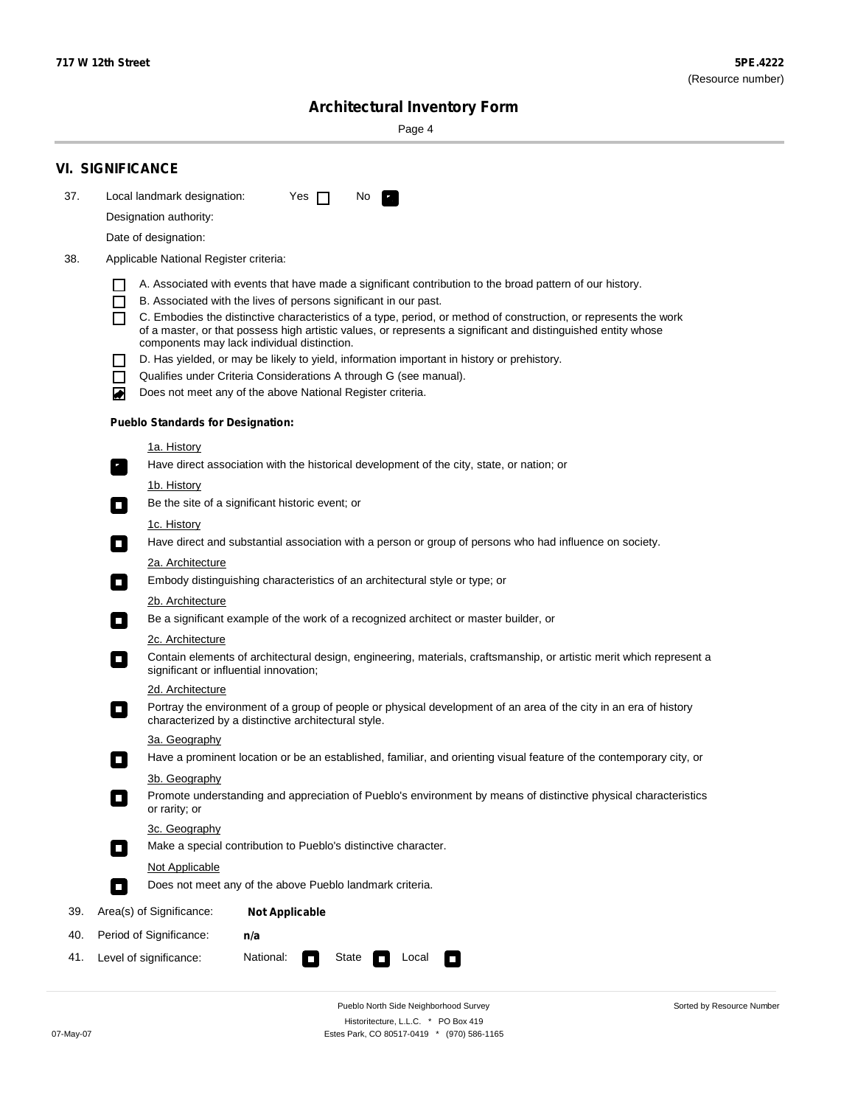۰

Sorted by Resource Number

## **Architectural Inventory Form**

Page 4

|     | <b>VI. SIGNIFICANCE</b>                                                                                                                                                                                |  |  |  |  |  |  |  |  |
|-----|--------------------------------------------------------------------------------------------------------------------------------------------------------------------------------------------------------|--|--|--|--|--|--|--|--|
| 37. | Local landmark designation:<br>Yes $\Box$<br>No.                                                                                                                                                       |  |  |  |  |  |  |  |  |
|     | Designation authority:                                                                                                                                                                                 |  |  |  |  |  |  |  |  |
|     | Date of designation:                                                                                                                                                                                   |  |  |  |  |  |  |  |  |
| 38. | Applicable National Register criteria:                                                                                                                                                                 |  |  |  |  |  |  |  |  |
|     | A. Associated with events that have made a significant contribution to the broad pattern of our history.                                                                                               |  |  |  |  |  |  |  |  |
|     | B. Associated with the lives of persons significant in our past.<br>$\Box$                                                                                                                             |  |  |  |  |  |  |  |  |
|     | C. Embodies the distinctive characteristics of a type, period, or method of construction, or represents the work<br>ΙI                                                                                 |  |  |  |  |  |  |  |  |
|     | of a master, or that possess high artistic values, or represents a significant and distinguished entity whose<br>components may lack individual distinction.                                           |  |  |  |  |  |  |  |  |
|     | D. Has yielded, or may be likely to yield, information important in history or prehistory.                                                                                                             |  |  |  |  |  |  |  |  |
|     | Qualifies under Criteria Considerations A through G (see manual).<br>$\mathbf{I}$                                                                                                                      |  |  |  |  |  |  |  |  |
|     | Does not meet any of the above National Register criteria.<br>◙                                                                                                                                        |  |  |  |  |  |  |  |  |
|     | <b>Pueblo Standards for Designation:</b>                                                                                                                                                               |  |  |  |  |  |  |  |  |
|     | <u>1a. History</u>                                                                                                                                                                                     |  |  |  |  |  |  |  |  |
|     | Have direct association with the historical development of the city, state, or nation; or<br>$\overline{\phantom{a}}$ .                                                                                |  |  |  |  |  |  |  |  |
|     | <u>1b. History</u>                                                                                                                                                                                     |  |  |  |  |  |  |  |  |
|     | Be the site of a significant historic event; or<br>$\mathcal{L}_{\mathcal{A}}$                                                                                                                         |  |  |  |  |  |  |  |  |
|     | 1c. History                                                                                                                                                                                            |  |  |  |  |  |  |  |  |
|     | Have direct and substantial association with a person or group of persons who had influence on society.<br>$\Box$                                                                                      |  |  |  |  |  |  |  |  |
|     | 2a. Architecture                                                                                                                                                                                       |  |  |  |  |  |  |  |  |
|     | Embody distinguishing characteristics of an architectural style or type; or<br>$\mathcal{L}_{\mathcal{A}}$                                                                                             |  |  |  |  |  |  |  |  |
|     | 2b. Architecture                                                                                                                                                                                       |  |  |  |  |  |  |  |  |
|     | Be a significant example of the work of a recognized architect or master builder, or<br>$\mathcal{L}_{\mathcal{A}}$                                                                                    |  |  |  |  |  |  |  |  |
|     | 2c. Architecture                                                                                                                                                                                       |  |  |  |  |  |  |  |  |
|     | Contain elements of architectural design, engineering, materials, craftsmanship, or artistic merit which represent a<br>$\mathcal{L}_{\rm{max}}$<br>significant or influential innovation;             |  |  |  |  |  |  |  |  |
|     | 2d. Architecture                                                                                                                                                                                       |  |  |  |  |  |  |  |  |
|     | Portray the environment of a group of people or physical development of an area of the city in an era of history<br>$\mathcal{L}_{\mathcal{A}}$<br>characterized by a distinctive architectural style. |  |  |  |  |  |  |  |  |
|     | 3a. Geography                                                                                                                                                                                          |  |  |  |  |  |  |  |  |
|     | Have a prominent location or be an established, familiar, and orienting visual feature of the contemporary city, or<br>$\overline{\phantom{a}}$                                                        |  |  |  |  |  |  |  |  |
|     | 3b. Geography                                                                                                                                                                                          |  |  |  |  |  |  |  |  |
|     | Promote understanding and appreciation of Pueblo's environment by means of distinctive physical characteristics<br>п<br>or rarity; or                                                                  |  |  |  |  |  |  |  |  |
|     | 3c. Geography<br>Make a special contribution to Pueblo's distinctive character.<br>$\mathcal{L}_{\mathcal{A}}$                                                                                         |  |  |  |  |  |  |  |  |
|     | Not Applicable                                                                                                                                                                                         |  |  |  |  |  |  |  |  |
|     | Does not meet any of the above Pueblo landmark criteria.<br>$\sim$                                                                                                                                     |  |  |  |  |  |  |  |  |
| 39. | Area(s) of Significance:<br><b>Not Applicable</b>                                                                                                                                                      |  |  |  |  |  |  |  |  |
| 40. | Period of Significance:<br>n/a                                                                                                                                                                         |  |  |  |  |  |  |  |  |
| 41. | National:<br>Level of significance:<br>State<br>Local<br>О<br>$\sim$                                                                                                                                   |  |  |  |  |  |  |  |  |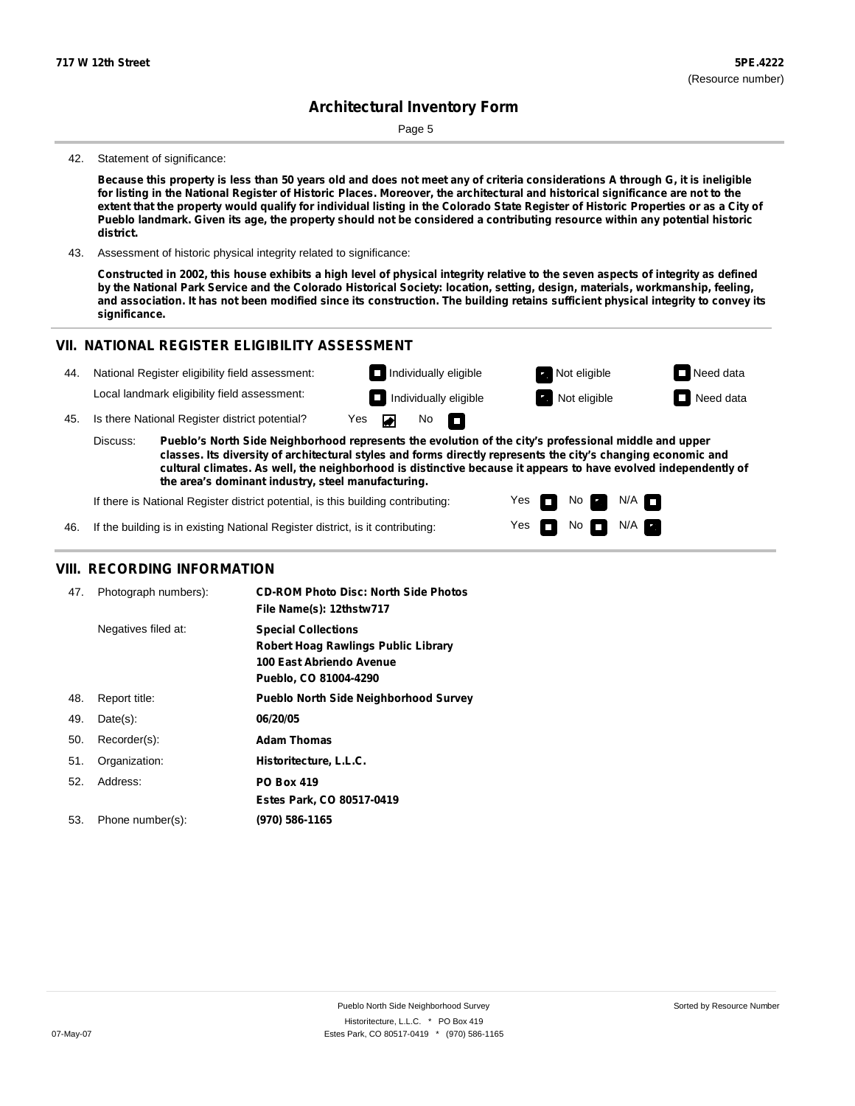Page 5

#### 42. Statement of significance:

Because this property is less than 50 years old and does not meet any of criteria considerations A through G, it is ineligible for listing in the National Register of Historic Places. Moreover, the architectural and historical significance are not to the extent that the property would qualify for individual listing in the Colorado State Register of Historic Properties or as a City of Pueblo landmark. Given its age, the property should not be considered a contributing resource within any potential historic **district.**

43. Assessment of historic physical integrity related to significance:

Constructed in 2002, this house exhibits a high level of physical integrity relative to the seven aspects of integrity as defined by the National Park Service and the Colorado Historical Society: location, setting, design, materials, workmanship, feeling, and association. It has not been modified since its construction. The building retains sufficient physical integrity to convey its **significance.**

> Yes Yes

П

No

No  $\blacksquare$  N/A

 $N/A$ 

### **VII. NATIONAL REGISTER ELIGIBILITY ASSESSMENT**

**Individually eligible Not eligible** Not eligible **Need data** 44. National Register eligibility field assessment: Local landmark eligibility field assessment: **I** Individually eligible **Not** Extract Not eligible **Need data** 45. Is there National Register district potential? Yes ◚ No П **Pueblo's North Side Neighborhood represents the evolution of the city's professional middle and upper** Discuss: **classes. Its diversity of architectural styles and forms directly represents the city's changing economic and cultural climates. As well, the neighborhood is distinctive because it appears to have evolved independently of the area's dominant industry, steel manufacturing.**

If there is National Register district potential, is this building contributing:

If the building is in existing National Register district, is it contributing: 46.

#### **VIII. RECORDING INFORMATION**

| 47. | Photograph numbers): | <b>CD-ROM Photo Disc: North Side Photos</b><br>File Name(s): 12thstw717                                                |
|-----|----------------------|------------------------------------------------------------------------------------------------------------------------|
|     | Negatives filed at:  | <b>Special Collections</b><br>Robert Hoag Rawlings Public Library<br>100 East Abriendo Avenue<br>Pueblo, CO 81004-4290 |
| 48. | Report title:        | <b>Pueblo North Side Neighborhood Survey</b>                                                                           |
| 49. | $Date(s)$ :          | 06/20/05                                                                                                               |
| 50. | Recorder(s):         | <b>Adam Thomas</b>                                                                                                     |
| 51. | Organization:        | Historitecture, L.L.C.                                                                                                 |
| 52. | Address:             | <b>PO Box 419</b>                                                                                                      |
|     |                      | Estes Park, CO 80517-0419                                                                                              |
| 53. | Phone number(s):     | (970) 586-1165                                                                                                         |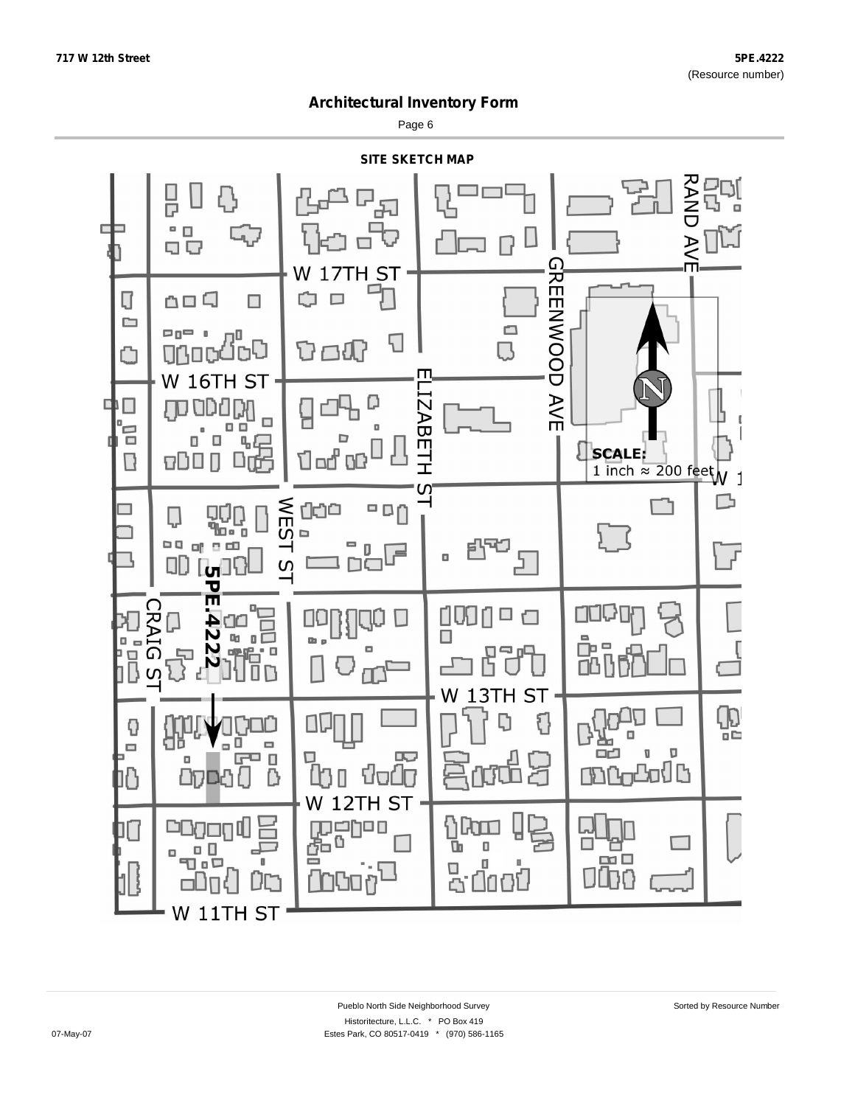Page 6